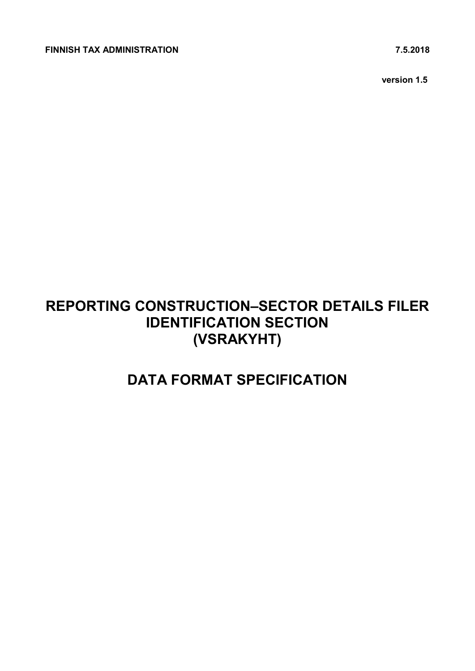**version 1.5**

# **REPORTING CONSTRUCTION–SECTOR DETAILS FILER IDENTIFICATION SECTION (VSRAKYHT)**

# **DATA FORMAT SPECIFICATION**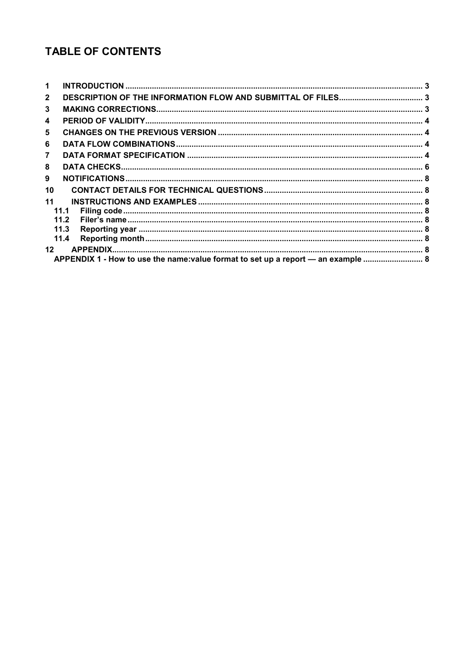# **TABLE OF CONTENTS**

| 1               |                                                                                   |  |
|-----------------|-----------------------------------------------------------------------------------|--|
| $\mathbf{2}$    |                                                                                   |  |
| 3               |                                                                                   |  |
| 4               |                                                                                   |  |
| 5               |                                                                                   |  |
| 6               |                                                                                   |  |
| $\overline{7}$  |                                                                                   |  |
| 8               |                                                                                   |  |
| 9               |                                                                                   |  |
| 10              |                                                                                   |  |
| 11              |                                                                                   |  |
|                 | 11.1                                                                              |  |
|                 | 11.2                                                                              |  |
|                 | 11.3                                                                              |  |
|                 | 11.4                                                                              |  |
| 12 <sup>1</sup> |                                                                                   |  |
|                 | APPENDIX 1 - How to use the name: value format to set up a report - an example  8 |  |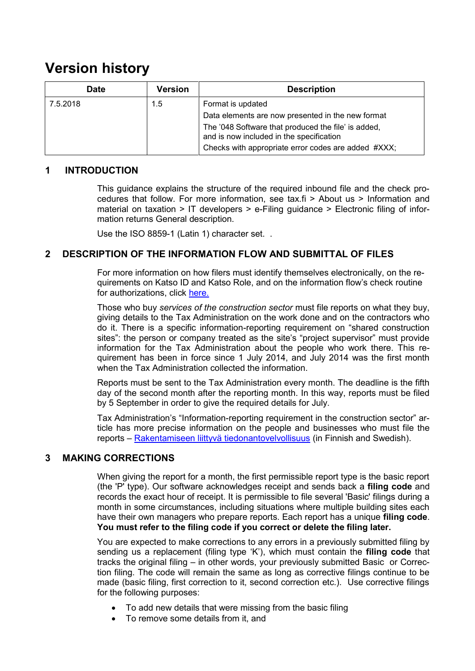# **Version history**

| Date     | Version | <b>Description</b>                                                                              |
|----------|---------|-------------------------------------------------------------------------------------------------|
| 7.5.2018 | 1.5     | Format is updated                                                                               |
|          |         | Data elements are now presented in the new format                                               |
|          |         | The '048 Software that produced the file' is added,<br>and is now included in the specification |
|          |         | Checks with appropriate error codes are added #XXX;                                             |

### <span id="page-2-0"></span>**1 INTRODUCTION**

This guidance explains the structure of the required inbound file and the check procedures that follow. For more information, see tax.fi > About us > Information and material on taxation > IT developers > e-Filing guidance > Electronic filing of information returns General description.

Use the ISO 8859-1 (Latin 1) character set. .

### <span id="page-2-1"></span>**2 DESCRIPTION OF THE INFORMATION FLOW AND SUBMITTAL OF FILES**

For more information on how filers must identify themselves electronically, on the requirements on Katso ID and Katso Role, and on the information flow's check routine for authorizations, click [here.](https://www.ilmoitin.fi/webtamo/sivut/IlmoituslajiRoolit?kieli=en&tv=VSRAKYHT)

Those who buy *services of the construction sector* must file reports on what they buy, giving details to the Tax Administration on the work done and on the contractors who do it. There is a specific information-reporting requirement on "shared construction sites": the person or company treated as the site's "project supervisor" must provide information for the Tax Administration about the people who work there. This requirement has been in force since 1 July 2014, and July 2014 was the first month when the Tax Administration collected the information.

Reports must be sent to the Tax Administration every month. The deadline is the fifth day of the second month after the reporting month. In this way, reports must be filed by 5 September in order to give the required details for July.

Tax Administration's "Information-reporting requirement in the construction sector" article has more precise information on the people and businesses who must file the reports – [Rakentamiseen liittyvä tiedonantovelvollisuus](https://www.vero.fi/syventavat-vero-ohjeet/ohje-hakusivu/48413/rakentamiseen-liittyva-tiedonantovelvollisuus/#6.1-ilmoitustavat) (in Finnish and Swedish).

## <span id="page-2-2"></span>**3 MAKING CORRECTIONS**

When giving the report for a month, the first permissible report type is the basic report (the 'P' type). Our software acknowledges receipt and sends back a **filing code** and records the exact hour of receipt. It is permissible to file several 'Basic' filings during a month in some circumstances, including situations where multiple building sites each have their own managers who prepare reports. Each report has a unique **filing code**. **You must refer to the filing code if you correct or delete the filing later.**

You are expected to make corrections to any errors in a previously submitted filing by sending us a replacement (filing type 'K'), which must contain the **filing code** that tracks the original filing – in other words, your previously submitted Basic or Correction filing. The code will remain the same as long as corrective filings continue to be made (basic filing, first correction to it, second correction etc.). Use corrective filings for the following purposes:

- To add new details that were missing from the basic filing
- To remove some details from it, and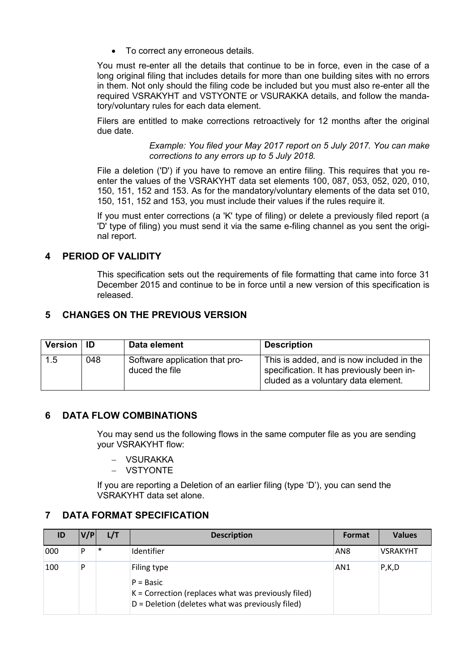To correct any erroneous details.

You must re-enter all the details that continue to be in force, even in the case of a long original filing that includes details for more than one building sites with no errors in them. Not only should the filing code be included but you must also re-enter all the required VSRAKYHT and VSTYONTE or VSURAKKA details, and follow the mandatory/voluntary rules for each data element.

Filers are entitled to make corrections retroactively for 12 months after the original due date.

> *Example: You filed your May 2017 report on 5 July 2017. You can make corrections to any errors up to 5 July 2018.*

File a deletion ('D') if you have to remove an entire filing. This requires that you reenter the values of the VSRAKYHT data set elements 100, 087, 053, 052, 020, 010, 150, 151, 152 and 153. As for the mandatory/voluntary elements of the data set 010, 150, 151, 152 and 153, you must include their values if the rules require it.

If you must enter corrections (a 'K' type of filing) or delete a previously filed report (a 'D' type of filing) you must send it via the same e-filing channel as you sent the original report.

## <span id="page-3-0"></span>**4 PERIOD OF VALIDITY**

This specification sets out the requirements of file formatting that came into force 31 December 2015 and continue to be in force until a new version of this specification is released.

# <span id="page-3-1"></span>**5 CHANGES ON THE PREVIOUS VERSION**

| Version   ID |     | Data element                                     | <b>Description</b>                                                                                                            |
|--------------|-----|--------------------------------------------------|-------------------------------------------------------------------------------------------------------------------------------|
| 1.5          | 048 | Software application that pro-<br>duced the file | This is added, and is now included in the<br>specification. It has previously been in-<br>cluded as a voluntary data element. |

### <span id="page-3-2"></span>**6 DATA FLOW COMBINATIONS**

You may send us the following flows in the same computer file as you are sending your VSRAKYHT flow:

- VSURAKKA
- **VSTYONTE**

If you are reporting a Deletion of an earlier filing (type 'D'), you can send the VSRAKYHT data set alone.

## <span id="page-3-3"></span>**7 DATA FORMAT SPECIFICATION**

| ID  | V/P | L/T    | <b>Description</b>                                                                                                                        | Format          | <b>Values</b>   |
|-----|-----|--------|-------------------------------------------------------------------------------------------------------------------------------------------|-----------------|-----------------|
| 000 |     | $\ast$ | Identifier                                                                                                                                | AN <sub>8</sub> | <b>VSRAKYHT</b> |
| 100 | D   |        | Filing type<br>$P = Basic$<br>$K =$ Correction (replaces what was previously filed)<br>$D =$ Deletion (deletes what was previously filed) | AN <sub>1</sub> | P, K, D         |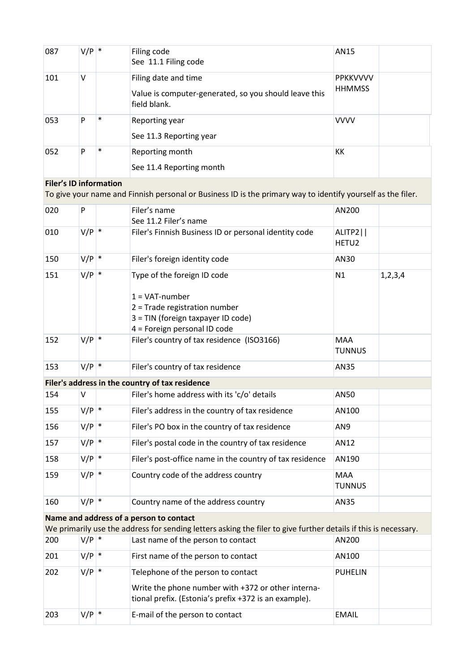| 087 | $V/P$ * |        | Filing code<br>See 11.1 Filing code                                                           | AN15                             |  |
|-----|---------|--------|-----------------------------------------------------------------------------------------------|----------------------------------|--|
| 101 | v       |        | Filing date and time<br>Value is computer-generated, so you should leave this<br>field blank. | <b>PPKKVVVV</b><br><b>HHMMSS</b> |  |
| 053 | P       | $\ast$ | Reporting year<br>See 11.3 Reporting year                                                     | <b>VVVV</b>                      |  |
| 052 | P       | $\ast$ | Reporting month<br>See 11.4 Reporting month                                                   | КK                               |  |

# **Filer's ID information**

To give your name and Finnish personal or Business ID is the primary way to identify yourself as the filer.

| 020 | P       | Filer's name                                                                                                                                                  | AN200                       |            |
|-----|---------|---------------------------------------------------------------------------------------------------------------------------------------------------------------|-----------------------------|------------|
|     |         | See 11.2 Filer's name                                                                                                                                         |                             |            |
| 010 | $V/P$ * | Filer's Finnish Business ID or personal identity code                                                                                                         | ALITP2  <br>HETU2           |            |
| 150 | $V/P$ * | Filer's foreign identity code                                                                                                                                 | AN30                        |            |
| 151 | $V/P$ * | Type of the foreign ID code<br>$1 = \text{VAT-number}$<br>2 = Trade registration number<br>3 = TIN (foreign taxpayer ID code)<br>4 = Foreign personal ID code | N1                          | 1, 2, 3, 4 |
| 152 | $V/P$ * | Filer's country of tax residence (ISO3166)                                                                                                                    | <b>MAA</b><br>TUNNUS        |            |
| 153 | $V/P$ * | Filer's country of tax residence                                                                                                                              | AN35                        |            |
|     |         | Filer's address in the country of tax residence                                                                                                               |                             |            |
| 154 | V       | Filer's home address with its 'c/o' details                                                                                                                   | AN50                        |            |
| 155 | $V/P$ * | Filer's address in the country of tax residence                                                                                                               | AN100                       |            |
| 156 | $V/P$ * | Filer's PO box in the country of tax residence                                                                                                                | AN9                         |            |
| 157 | $V/P$ * | Filer's postal code in the country of tax residence                                                                                                           | AN12                        |            |
| 158 | $V/P$ * | Filer's post-office name in the country of tax residence                                                                                                      | AN190                       |            |
| 159 | $V/P$ * | Country code of the address country                                                                                                                           | <b>MAA</b><br><b>TUNNUS</b> |            |
| 160 | $V/P$ * | Country name of the address country                                                                                                                           | AN35                        |            |
|     |         | Name and address of a person to contact                                                                                                                       |                             |            |
|     |         | We primarily use the address for sending letters asking the filer to give further details if this is necessary.                                               |                             |            |
| 200 | $V/P$ * | Last name of the person to contact                                                                                                                            | AN200                       |            |
| 201 | $V/P$ * | First name of the person to contact                                                                                                                           | AN100                       |            |
| 202 | $V/P$ * | Telephone of the person to contact<br>Write the phone number with +372 or other interna-<br>tional prefix. (Estonia's prefix +372 is an example).             | <b>PUHELIN</b>              |            |
| 203 | $V/P$ * | E-mail of the person to contact                                                                                                                               | <b>EMAIL</b>                |            |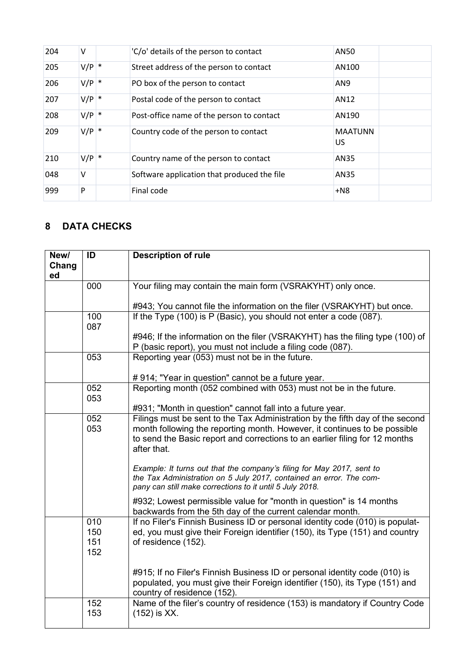| 204 | v       | 'C/o' details of the person to contact      | AN50                  |  |
|-----|---------|---------------------------------------------|-----------------------|--|
| 205 | $V/P$ * | Street address of the person to contact     | AN100                 |  |
| 206 | $V/P$ * | PO box of the person to contact             | AN9                   |  |
| 207 | $V/P$ * | Postal code of the person to contact        | AN12                  |  |
| 208 | $V/P$ * | Post-office name of the person to contact   | AN190                 |  |
| 209 | $V/P$ * | Country code of the person to contact       | <b>MAATUNN</b><br>US. |  |
| 210 | $V/P$ * | Country name of the person to contact       | AN35                  |  |
| 048 | v       | Software application that produced the file | AN35                  |  |
| 999 | P       | Final code                                  | $+N8$                 |  |

# <span id="page-5-0"></span>**8 DATA CHECKS**

| New/  | ID  | <b>Description of rule</b>                                                                                                                   |
|-------|-----|----------------------------------------------------------------------------------------------------------------------------------------------|
| Chang |     |                                                                                                                                              |
| ed    |     |                                                                                                                                              |
|       | 000 | Your filing may contain the main form (VSRAKYHT) only once.                                                                                  |
|       |     |                                                                                                                                              |
|       |     | #943; You cannot file the information on the filer (VSRAKYHT) but once.                                                                      |
|       | 100 | If the Type (100) is P (Basic), you should not enter a code (087).                                                                           |
|       | 087 |                                                                                                                                              |
|       |     | #946; If the information on the filer (VSRAKYHT) has the filing type (100) of                                                                |
|       |     | P (basic report), you must not include a filing code (087).                                                                                  |
|       | 053 | Reporting year (053) must not be in the future.                                                                                              |
|       |     | #914; "Year in question" cannot be a future year.                                                                                            |
|       | 052 | Reporting month (052 combined with 053) must not be in the future.                                                                           |
|       | 053 |                                                                                                                                              |
|       |     | #931; "Month in question" cannot fall into a future year.                                                                                    |
|       | 052 | Filings must be sent to the Tax Administration by the fifth day of the second                                                                |
|       | 053 | month following the reporting month. However, it continues to be possible                                                                    |
|       |     | to send the Basic report and corrections to an earlier filing for 12 months                                                                  |
|       |     | after that.                                                                                                                                  |
|       |     |                                                                                                                                              |
|       |     | Example: It turns out that the company's filing for May 2017, sent to<br>the Tax Administration on 5 July 2017, contained an error. The com- |
|       |     | pany can still make corrections to it until 5 July 2018.                                                                                     |
|       |     |                                                                                                                                              |
|       |     | #932; Lowest permissible value for "month in question" is 14 months                                                                          |
|       | 010 | backwards from the 5th day of the current calendar month.<br>If no Filer's Finnish Business ID or personal identity code (010) is populat-   |
|       | 150 | ed, you must give their Foreign identifier (150), its Type (151) and country                                                                 |
|       | 151 | of residence (152).                                                                                                                          |
|       | 152 |                                                                                                                                              |
|       |     |                                                                                                                                              |
|       |     | #915; If no Filer's Finnish Business ID or personal identity code (010) is                                                                   |
|       |     | populated, you must give their Foreign identifier (150), its Type (151) and                                                                  |
|       |     | country of residence (152).                                                                                                                  |
|       | 152 | Name of the filer's country of residence (153) is mandatory if Country Code                                                                  |
|       | 153 | (152) is XX.                                                                                                                                 |
|       |     |                                                                                                                                              |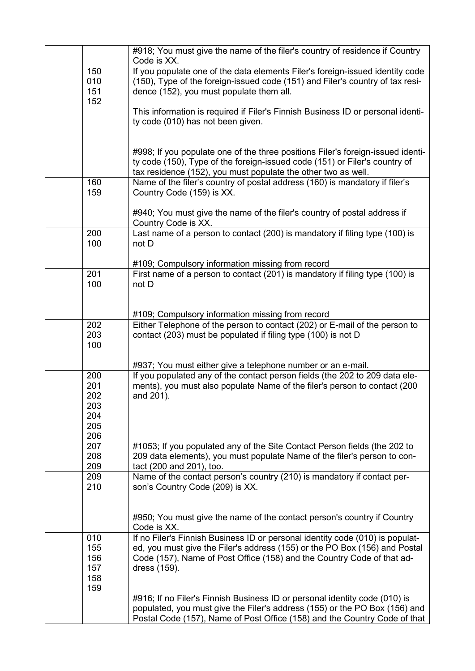|                                               | #918; You must give the name of the filer's country of residence if Country<br>Code is XX.                                                                                                                                                            |
|-----------------------------------------------|-------------------------------------------------------------------------------------------------------------------------------------------------------------------------------------------------------------------------------------------------------|
| 150<br>010<br>151<br>152                      | If you populate one of the data elements Filer's foreign-issued identity code<br>(150), Type of the foreign-issued code (151) and Filer's country of tax resi-<br>dence (152), you must populate them all.                                            |
|                                               | This information is required if Filer's Finnish Business ID or personal identi-<br>ty code (010) has not been given.                                                                                                                                  |
|                                               | #998; If you populate one of the three positions Filer's foreign-issued identi-<br>ty code (150), Type of the foreign-issued code (151) or Filer's country of<br>tax residence (152), you must populate the other two as well.                        |
| 160<br>159                                    | Name of the filer's country of postal address (160) is mandatory if filer's<br>Country Code (159) is XX.                                                                                                                                              |
|                                               | #940; You must give the name of the filer's country of postal address if<br>Country Code is XX.                                                                                                                                                       |
| 200<br>100                                    | Last name of a person to contact (200) is mandatory if filing type (100) is<br>not D                                                                                                                                                                  |
|                                               | #109; Compulsory information missing from record                                                                                                                                                                                                      |
| 201<br>100                                    | First name of a person to contact (201) is mandatory if filing type (100) is<br>not D                                                                                                                                                                 |
|                                               | #109; Compulsory information missing from record                                                                                                                                                                                                      |
| 202<br>203<br>100                             | Either Telephone of the person to contact (202) or E-mail of the person to<br>contact (203) must be populated if filing type (100) is not D                                                                                                           |
|                                               | #937; You must either give a telephone number or an e-mail.                                                                                                                                                                                           |
| 200<br>201<br>202<br>203<br>204<br>205<br>206 | If you populated any of the contact person fields (the 202 to 209 data ele-<br>ments), you must also populate Name of the filer's person to contact (200<br>and 201).                                                                                 |
| 207<br>208<br>209                             | #1053; If you populated any of the Site Contact Person fields (the 202 to<br>209 data elements), you must populate Name of the filer's person to con-<br>tact (200 and 201), too.                                                                     |
| 209<br>210                                    | Name of the contact person's country (210) is mandatory if contact per-<br>son's Country Code (209) is XX.                                                                                                                                            |
|                                               | #950; You must give the name of the contact person's country if Country<br>Code is XX.                                                                                                                                                                |
| 010<br>155<br>156<br>157<br>158<br>159        | If no Filer's Finnish Business ID or personal identity code (010) is populat-<br>ed, you must give the Filer's address (155) or the PO Box (156) and Postal<br>Code (157), Name of Post Office (158) and the Country Code of that ad-<br>dress (159). |
|                                               | #916; If no Filer's Finnish Business ID or personal identity code (010) is<br>populated, you must give the Filer's address (155) or the PO Box (156) and<br>Postal Code (157), Name of Post Office (158) and the Country Code of that                 |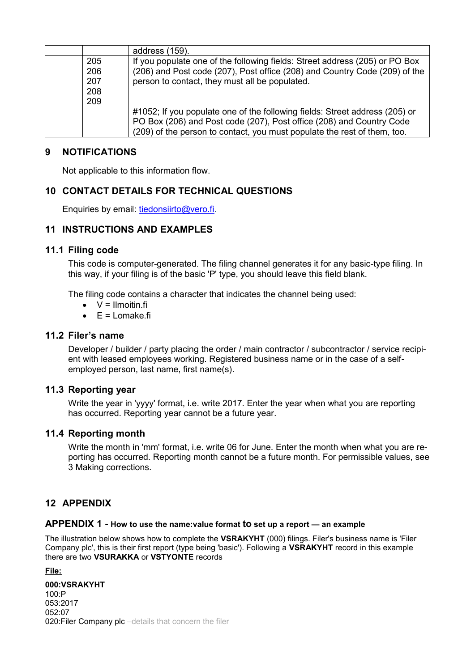|     | address (159).                                                              |
|-----|-----------------------------------------------------------------------------|
| 205 | If you populate one of the following fields: Street address (205) or PO Box |
| 206 | (206) and Post code (207), Post office (208) and Country Code (209) of the  |
| 207 | person to contact, they must all be populated.                              |
| 208 |                                                                             |
| 209 |                                                                             |
|     | #1052; If you populate one of the following fields: Street address (205) or |
|     | PO Box (206) and Post code (207), Post office (208) and Country Code        |
|     | (209) of the person to contact, you must populate the rest of them, too.    |

### <span id="page-7-0"></span>**9 NOTIFICATIONS**

Not applicable to this information flow.

# <span id="page-7-1"></span>**10 CONTACT DETAILS FOR TECHNICAL QUESTIONS**

Enquiries by email: [tiedonsiirto@vero.fi.](mailto:tiedonsiirto@vero.fi)

### <span id="page-7-2"></span>**11 INSTRUCTIONS AND EXAMPLES**

### <span id="page-7-3"></span>**11.1 Filing code**

This code is computer-generated. The filing channel generates it for any basic-type filing. In this way, if your filing is of the basic 'P' type, you should leave this field blank.

The filing code contains a character that indicates the channel being used:

- $\bullet$   $V =$  Ilmoitin fi
- $\bullet$   $E =$  Lomake.fi

### <span id="page-7-4"></span>**11.2 Filer's name**

Developer / builder / party placing the order / main contractor / subcontractor / service recipient with leased employees working. Registered business name or in the case of a selfemployed person, last name, first name(s).

### <span id="page-7-5"></span>**11.3 Reporting year**

Write the year in 'yyyy' format, i.e. write 2017. Enter the year when what you are reporting has occurred. Reporting year cannot be a future year.

### <span id="page-7-6"></span>**11.4 Reporting month**

Write the month in 'mm' format, i.e. write 06 for June. Enter the month when what you are reporting has occurred. Reporting month cannot be a future month. For permissible values, see [3](#page-2-2) [Making corrections.](#page-2-2)

## <span id="page-7-7"></span>**12 APPENDIX**

#### <span id="page-7-8"></span>**APPENDIX 1 - How to use the name:value format to set up a report — an example**

The illustration below shows how to complete the **VSRAKYHT** (000) filings. Filer's business name is 'Filer Company plc', this is their first report (type being 'basic'). Following a **VSRAKYHT** record in this example there are two **VSURAKKA** or **VSTYONTE** records

**File:**

**000:VSRAKYHT**  $100 \cdot P$ 053:2017 052:07 020:Filer Company plc –details that concern the filer